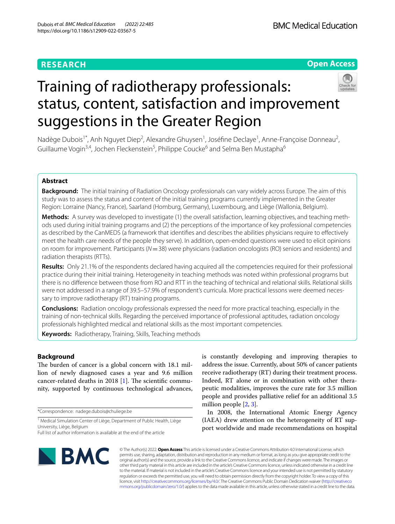# **RESEARCH**

# **Open Access**



# Training of radiotherapy professionals: status, content, satisfaction and improvement suggestions in the Greater Region

Nadège Dubois<sup>1\*</sup>, Anh Nguyet Diep<sup>2</sup>, Alexandre Ghuysen<sup>1</sup>, Joséfine Declaye<sup>1</sup>, Anne-Françoise Donneau<sup>2</sup>, Guillaume Vogin<sup>3,4</sup>, Jochen Fleckenstein<sup>5</sup>, Philippe Coucke<sup>6</sup> and Selma Ben Mustapha<sup>6</sup>

# **Abstract**

**Background:** The initial training of Radiation Oncology professionals can vary widely across Europe. The aim of this study was to assess the status and content of the initial training programs currently implemented in the Greater Region: Lorraine (Nancy, France), Saarland (Homburg, Germany), Luxembourg, and Liège (Wallonia, Belgium).

Methods: A survey was developed to investigate (1) the overall satisfaction, learning objectives, and teaching methods used during initial training programs and (2) the perceptions of the importance of key professional competencies as described by the CanMEDS (a framework that identifes and describes the abilities physicians require to efectively meet the health care needs of the people they serve). In addition, open-ended questions were used to elicit opinions on room for improvement. Participants (*N*=38) were physicians (radiation oncologists (RO) seniors and residents) and radiation therapists (RTTs).

**Results:** Only 21.1% of the respondents declared having acquired all the competencies required for their professional practice during their initial training. Heterogeneity in teaching methods was noted within professional programs but there is no diference between those from RO and RTT in the teaching of technical and relational skills. Relational skills were not addressed in a range of 39.5–57.9% of respondent's curricula. More practical lessons were deemed necessary to improve radiotherapy (RT) training programs.

**Conclusions:** Radiation oncology professionals expressed the need for more practical teaching, especially in the training of non-technical skills. Regarding the perceived importance of professional aptitudes, radiation oncology professionals highlighted medical and relational skills as the most important competencies.

**Keywords:** Radiotherapy, Training, Skills, Teaching methods

# **Background**

The burden of cancer is a global concern with 18.1 million of newly diagnosed cases a year and 9.6 million cancer-related deaths in 20[1](#page-9-0)8  $[1]$ . The scientific community, supported by continuous technological advances,

\*Correspondence: nadege.dubois@chuliege.be

<sup>1</sup> Medical Simulation Center of Liège, Department of Public Health, Liège University, Liège, Belgium

is constantly developing and improving therapies to address the issue. Currently, about 50% of cancer patients receive radiotherapy (RT) during their treatment process. Indeed, RT alone or in combination with other therapeutic modalities, improves the cure rate for 3.5 million people and provides palliative relief for an additional 3.5 million people [\[2](#page-9-1), [3\]](#page-9-2).

In 2008, the International Atomic Energy Agency (IAEA) drew attention on the heterogeneity of RT support worldwide and made recommendations on hospital



© The Author(s) 2022. **Open Access** This article is licensed under a Creative Commons Attribution 4.0 International License, which permits use, sharing, adaptation, distribution and reproduction in any medium or format, as long as you give appropriate credit to the original author(s) and the source, provide a link to the Creative Commons licence, and indicate if changes were made. The images or other third party material in this article are included in the article's Creative Commons licence, unless indicated otherwise in a credit line to the material. If material is not included in the article's Creative Commons licence and your intended use is not permitted by statutory regulation or exceeds the permitted use, you will need to obtain permission directly from the copyright holder. To view a copy of this licence, visit [http://creativecommons.org/licenses/by/4.0/.](http://creativecommons.org/licenses/by/4.0/) The Creative Commons Public Domain Dedication waiver ([http://creativeco](http://creativecommons.org/publicdomain/zero/1.0/) [mmons.org/publicdomain/zero/1.0/](http://creativecommons.org/publicdomain/zero/1.0/)) applies to the data made available in this article, unless otherwise stated in a credit line to the data.

Full list of author information is available at the end of the article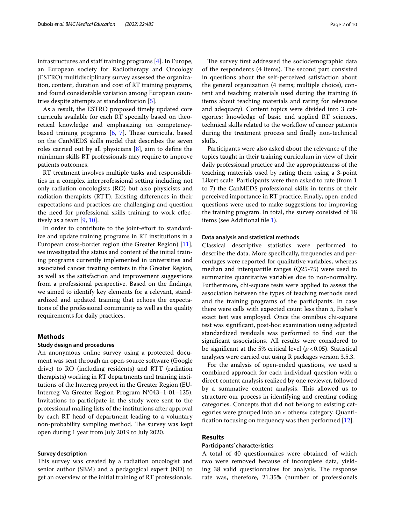infrastructures and staff training programs  $[4]$  $[4]$ . In Europe, an European society for Radiotherapy and Oncology (ESTRO) multidisciplinary survey assessed the organization, content, duration and cost of RT training programs, and found considerable variation among European countries despite attempts at standardization [[5\]](#page-9-4).

As a result, the ESTRO proposed timely updated core curricula available for each RT specialty based on theoretical knowledge and emphasizing on competencybased training programs  $[6, 7]$  $[6, 7]$  $[6, 7]$ . These curricula, based on the CanMEDS skills model that describes the seven roles carried out by all physicians [[8\]](#page-9-7), aim to defne the minimum skills RT professionals may require to improve patients outcomes.

RT treatment involves multiple tasks and responsibilities in a complex interprofessional setting including not only radiation oncologists (RO) but also physicists and radiation therapists (RTT). Existing diferences in their expectations and practices are challenging and question the need for professional skills training to work efectively as a team  $[9, 10]$  $[9, 10]$  $[9, 10]$ .

In order to contribute to the joint-effort to standardize and update training programs in RT institutions in a European cross-border region (the Greater Region) [\[11](#page-9-10)], we investigated the status and content of the initial training programs currently implemented in universities and associated cancer treating centers in the Greater Region, as well as the satisfaction and improvement suggestions from a professional perspective. Based on the fndings, we aimed to identify key elements for a relevant, standardized and updated training that echoes the expectations of the professional community as well as the quality requirements for daily practices.

# **Methods**

#### **Study design and procedures**

An anonymous online survey using a protected document was sent through an open-source software (Google drive) to RO (including residents) and RTT (radiation therapists) working in RT departments and training institutions of the Interreg project in the Greater Region (EU-Interreg Va Greater Region Program N°043–1-01–125). Invitations to participate in the study were sent to the professional mailing lists of the institutions after approval by each RT head of department leading to a voluntary non-probability sampling method. The survey was kept open during 1 year from July 2019 to July 2020.

# **Survey description**

This survey was created by a radiation oncologist and senior author (SBM) and a pedagogical expert (ND) to get an overview of the initial training of RT professionals.

The survey first addressed the sociodemographic data of the respondents (4 items). The second part consisted in questions about the self-perceived satisfaction about the general organization (4 items; multiple choice), content and teaching materials used during the training (6 items about teaching materials and rating for relevance and adequacy). Content topics were divided into 3 categories: knowledge of basic and applied RT sciences, technical skills related to the workfow of cancer patients during the treatment process and fnally non-technical skills.

Participants were also asked about the relevance of the topics taught in their training curriculum in view of their daily professional practice and the appropriateness of the teaching materials used by rating them using a 3-point Likert scale. Participants were then asked to rate (from 1 to 7) the CanMEDS professional skills in terms of their perceived importance in RT practice. Finally, open-ended questions were used to make suggestions for improving the training program. In total, the survey consisted of 18 items (see Additional fle [1](#page-8-0)).

# **Data analysis and statistical methods**

Classical descriptive statistics were performed to describe the data. More specifcally, frequencies and percentages were reported for qualitative variables, whereas median and interquartile ranges (Q25-75) were used to summarize quantitative variables due to non-normality. Furthermore, chi-square tests were applied to assess the association between the types of teaching methods used and the training programs of the participants. In case there were cells with expected count less than 5, Fisher's exact test was employed. Once the omnibus chi-square test was signifcant, post-hoc examination using adjusted standardized residuals was performed to fnd out the signifcant associations. All results were considered to be signifcant at the 5% critical level (*p*<0.05). Statistical analyses were carried out using R packages version 3.5.3.

For the analysis of open-ended questions, we used a combined approach for each individual question with a direct content analysis realized by one reviewer, followed by a summative content analysis. This allowed us to structure our process in identifying and creating coding categories. Concepts that did not belong to existing categories were grouped into an « others» category. Quantifcation focusing on frequency was then performed [[12](#page-9-11)].

# **Results**

# **Participants' characteristics**

A total of 40 questionnaires were obtained, of which two were removed because of incomplete data, yielding 38 valid questionnaires for analysis. The response rate was, therefore, 21.35% (number of professionals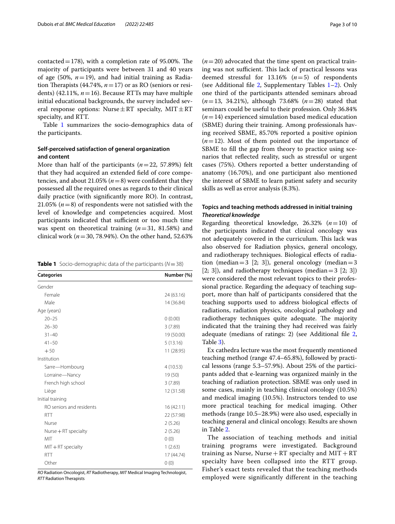contacted = 178), with a completion rate of 95.00%. The majority of participants were between 31 and 40 years of age  $(50\%, n=19)$ , and had initial training as Radiation Therapists (44.74%,  $n = 17$ ) or as RO (seniors or residents) (42.11%, *n*=16). Because RTTs may have multiple initial educational backgrounds, the survey included several response options: Nurse $\pm RT$  specialty, MIT $\pm RT$ specialty, and RTT.

Table [1](#page-2-0) summarizes the socio-demographics data of the participants.

# **Self‑perceived satisfaction of general organization and content**

More than half of the participants (*n*=22, 57.89%) felt that they had acquired an extended feld of core competencies, and about 21.05% ( $n=8$ ) were confident that they possessed all the required ones as regards to their clinical daily practice (with signifcantly more RO). In contrast, 21.05%  $(n=8)$  of respondents were not satisfied with the level of knowledge and competencies acquired. Most participants indicated that sufficient or too much time was spent on theoretical training (*n*=31, 81.58%) and clinical work ( $n=30, 78.94\%$ ). On the other hand, 52.63%

<span id="page-2-0"></span>

|  | <b>Table 1</b> Socio-demographic data of the participants ( $N = 38$ ) |  |  |  |
|--|------------------------------------------------------------------------|--|--|--|
|--|------------------------------------------------------------------------|--|--|--|

| <b>Categories</b>        | Number (%) |
|--------------------------|------------|
| Gender                   |            |
| Female                   | 24 (63.16) |
| Male                     | 14 (36.84) |
| Age (years)              |            |
| $20 - 25$                | 0(0.00)    |
| $26 - 30$                | 3(7.89)    |
| $31 - 40$                | 19 (50.00) |
| $41 - 50$                | 5(13.16)   |
| $+50$                    | 11 (28.95) |
| Institution              |            |
| Sarre-Hombourg           | 4(10.53)   |
| Lorraine-Nancy           | 19 (50)    |
| French high school       | 3(7.89)    |
| Liège                    | 12 (31.58) |
| Initial training         |            |
| RO seniors and residents | 16(42.11)  |
| <b>RTT</b>               | 22 (57.98) |
| Nurse                    | 2(5.26)    |
| Nurse $+$ RT specialty   | 2(5.26)    |
| MIT                      | 0(0)       |
| $MIT + RT$ specialty     | 1(2.63)    |
| <b>RTT</b>               | 17 (44.74) |
| Other                    | 0(0)       |

*RO* Radiation Oncologist, *RT* Radiotherapy, *MIT* Medical Imaging Technologist, *RTT* Radiation Therapists

 $(n=20)$  advocated that the time spent on practical training was not sufficient. This lack of practical lessons was deemed stressful for 13.16% (*n*=5) of respondents (see Additional file [2](#page-8-1), Supplementary Tables  $1-2$ ). Only one third of the participants attended seminars abroad (*n*=13, 34.21%), although 73.68% (*n*=28) stated that seminars could be useful to their profession. Only 36.84% (*n*=14) experienced simulation based medical education (SBME) during their training. Among professionals having received SBME, 85.70% reported a positive opinion  $(n=12)$ . Most of them pointed out the importance of SBME to fll the gap from theory to practice using scenarios that refected reality, such as stressful or urgent cases (75%). Others reported a better understanding of anatomy (16.70%), and one participant also mentioned the interest of SBME to learn patient safety and security skills as well as error analysis (8.3%).

# **Topics and teaching methods addressed in initial training** *Theoretical knowledge*

Regarding theoretical knowledge, 26.32% (*n*=10) of the participants indicated that clinical oncology was not adequately covered in the curriculum. This lack was also observed for Radiation physics, general oncology, and radiotherapy techniques. Biological efects of radiation (median=3  $[2; 3]$ ), general oncology (median=3  $[2; 3]$ , and radiotherapy techniques (median=3  $[2; 3]$ ) were considered the most relevant topics to their professional practice. Regarding the adequacy of teaching support, more than half of participants considered that the teaching supports used to address biological efects of radiations, radiation physics, oncological pathology and radiotherapy techniques quite adequate. The majority indicated that the training they had received was fairly adequate (medians of ratings: 2) (see Additional fle [2](#page-8-1), Table [3](#page-8-1)).

Ex cathedra lecture was the most frequently mentioned teaching method (range 47.4–65.8%), followed by practical lessons (range 5.3–57.9%). About 25% of the participants added that e-learning was organized mainly in the teaching of radiation protection. SBME was only used in some cases, mainly in teaching clinical oncology (10.5%) and medical imaging (10.5%). Instructors tended to use more practical teaching for medical imaging. Other methods (range 10.5–28.9%) were also used, especially in teaching general and clinical oncology. Results are shown in Table [2.](#page-3-0)

The association of teaching methods and initial training programs were investigated. Background training as Nurse, Nurse  $+ RT$  specialty and  $MIT + RT$ specialty have been collapsed into the RTT group. Fisher's exact tests revealed that the teaching methods employed were significantly different in the teaching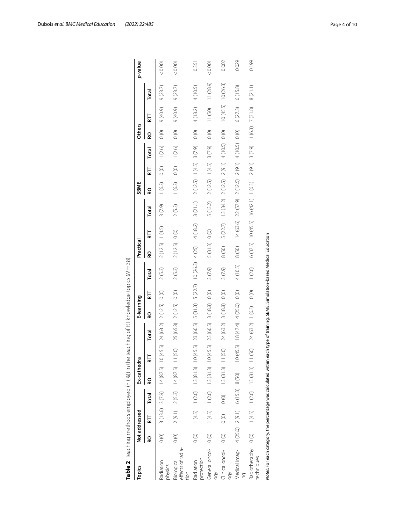| Topics                                                                                                                         | Not addressed  |                   |               | Ex-cathedra                     |                  |                                                                                           | E-learning   |         |          | Practical      |          |                                                         | SBME                     |                  |                   | <b>Others</b> |                    |           | p-value |
|--------------------------------------------------------------------------------------------------------------------------------|----------------|-------------------|---------------|---------------------------------|------------------|-------------------------------------------------------------------------------------------|--------------|---------|----------|----------------|----------|---------------------------------------------------------|--------------------------|------------------|-------------------|---------------|--------------------|-----------|---------|
|                                                                                                                                | 6              | 듡                 | Total         | Q                               | 듢                | Total                                                                                     | 6            | 듢       | Total    | 6              | 듢        | Total                                                   | 6                        | 듢                | Total             | 6             | 듢                  | Total     |         |
| Radiation<br>physics                                                                                                           | $\frac{1}{2}$  |                   |               |                                 |                  | $3(13.6)$ $3(7.9)$ $14(87.5)$ $10(45.5)$ $24(63.2)$ $2(12.5)$                             |              | $\circ$ | 2(5.3)   | 2(12.5) 1(4.5) |          | 3(7.9)                                                  | 1(6.3)                   | $\frac{1}{2}$    | 1(2.6)            | $\circ$       | $(6.04)$ $6$       | 9(23.7)   | 0.001   |
| effects of radia-<br>Biological<br>tion                                                                                        | $\circledcirc$ |                   |               | $2(9.1)$ $2(5.3)$ $14(87.5)$ 11 | (50)             | 25 (65.8)                                                                                 | 2(12.5) 0(0) |         | 2(5.3)   | 2(12.5)        | $\circ$  | 2(5.3)                                                  | 1(6.3)                   | $\frac{1}{2}$    | 1(2.6)            | $\circ$       | $(6.04)$ $6$       | 9(23.7)   | < 0.001 |
| protection<br>Radiation                                                                                                        | $\frac{1}{2}$  |                   |               |                                 |                  | $1(4.5)$ $1(2.6)$ $13(81.3)$ $10(45.5)$ $23(60.5)$ $5(31.3)$ $5(22.7)$ $10(26.3)$ $4(25)$ |              |         |          |                | 4(18.2)  | 8(21.1)                                                 | $2(12.5)$ 1(4.5) 3(7.9)  |                  |                   | $\circ$       | 4(18.2)            | 4 (10.5)  | 0.351   |
| General oncol-<br>δğ                                                                                                           | $\circ$        | $1(4.5)$ $1(2.6)$ |               | 13 (81.3) 10                    | (45.5)           | 23 (60.5)                                                                                 | 3(18.8)      | $\circ$ | 3(7.9)   | 5(31.3)        | $\circ$  | 5(13.2)                                                 | 2 (12.5) 1 (4.5) 3 (7.9) |                  |                   | $\circ$       | 11(50)             | 11 (28.9) | 0.001   |
| Clinical oncol-<br>Θğ                                                                                                          | $\circ$        | $\frac{1}{2}$     | $\frac{1}{2}$ | 13(81.3)                        | (50)<br>$\equiv$ | 24 (63.2)                                                                                 | 3(18.8)      | $\circ$ | 3(7.9)   | 8(50)          | 5 (22.7) | 13 (34.2)                                               | 2(12.5)                  |                  | $2(9.1)$ 4 (10.5) | $\circ$       | 10(45.5)           | 10 (26.3) | 0.002   |
| Medical imag- 4 (25.0) 2 (9.1) 6 (15.8) 8 (50)                                                                                 |                |                   |               |                                 |                  | $10(45.5)$ $18(47.4)$ $4(25.0)$                                                           |              | $\circ$ | 4 (10.5) | 8 (50)         |          | $14(63.6)$ $22(57.9)$ $2(12.5)$ $2(9.1)$ $4(10.5)$ 0(0) |                          |                  |                   |               | 6(27.3)            | 6(15.8)   | 0.029   |
| Radiotheraphy 0 (0)<br>techniques                                                                                              |                |                   |               | $1(4.5)$ $1(2.6)$ $13(81.3)$ 11 | (50)             | 24(63.2) 1(6.3)                                                                           |              | $\circ$ | 1(2.6)   |                |          | $6(37.5)$ 10 (45.5) 16 (42.1) 1 (6.3)                   |                          | $2(9.1)$ 3 (7.9) |                   |               | $1(6.3)$ $7(31.8)$ | 8(21.1)   | 0.199   |
| Notes: For each category, the percentage was calculated within each type of training; SBME: Simulation-based Medical Education |                |                   |               |                                 |                  |                                                                                           |              |         |          |                |          |                                                         |                          |                  |                   |               |                    |           |         |

<span id="page-3-0"></span>

| $\frac{1}{2}$<br>I       |
|--------------------------|
|                          |
|                          |
|                          |
|                          |
| J<br>ζ                   |
| I                        |
|                          |
|                          |
| $\overline{)}$           |
|                          |
|                          |
|                          |
|                          |
| ļ                        |
|                          |
| l                        |
|                          |
| $\overline{\phantom{a}}$ |
| $\mathbf{r}$             |
| i<br>!                   |
|                          |
|                          |
| $\vdots$<br>C            |
|                          |
| $\frac{1}{2}$            |
|                          |
|                          |
|                          |
|                          |
|                          |
|                          |
|                          |
|                          |
|                          |
|                          |
|                          |
|                          |
|                          |
|                          |
|                          |
|                          |
|                          |
| こくらもくらく                  |
|                          |
|                          |
| $\overline{ }$           |
|                          |
|                          |
|                          |
|                          |
| ł                        |
| ble 2 $\,$ lead          |
| ſ                        |
|                          |
|                          |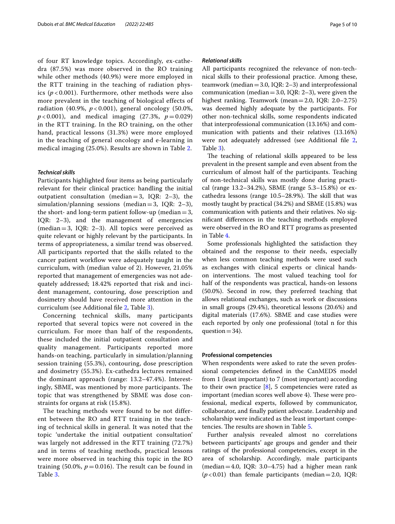of four RT knowledge topics. Accordingly, ex-cathedra (87.5%) was more observed in the RO training while other methods (40.9%) were more employed in the RTT training in the teaching of radiation physics ( $p$  < 0.001). Furthermore, other methods were also more prevalent in the teaching of biological effects of radiation (40.9%, *p* < 0.001), general oncology (50.0%,  $p < 0.001$ ), and medical imaging (27.3%,  $p = 0.029$ ) in the RTT training. In the RO training, on the other hand, practical lessons (31.3%) were more employed in the teaching of general oncology and e-learning in medical imaging (25.0%). Results are shown in Table [2](#page-3-0).

# *Technical skills*

Participants highlighted four items as being particularly relevant for their clinical practice: handling the initial outpatient consultation (median=3, IQR: 2–3), the simulation/planning sessions (median=3, IQR: 2–3), the short- and long-term patient follow-up (median  $=$  3, IQR: 2–3), and the management of emergencies  $(median=3, IQR: 2–3)$ . All topics were perceived as quite relevant or highly relevant by the participants. In terms of appropriateness, a similar trend was observed. All participants reported that the skills related to the cancer patient workflow were adequately taught in the curriculum, with (median value of 2). However, 21.05% reported that management of emergencies was not adequately addressed; 18.42% reported that risk and incident management, contouring, dose prescription and dosimetry should have received more attention in the curriculum (see Additional fle [2](#page-8-1), Table [3\)](#page-8-1).

Concerning technical skills, many participants reported that several topics were not covered in the curriculum. For more than half of the respondents, these included the initial outpatient consultation and quality management. Participants reported more hands-on teaching, particularly in simulation/planning session training (55.3%), contouring, dose prescription and dosimetry (55.3%). Ex-cathedra lectures remained the dominant approach (range: 13.2–47.4%). Interestingly, SBME, was mentioned by more participants. The topic that was strengthened by SBME was dose constraints for organs at risk (15.8%).

The teaching methods were found to be not different between the RO and RTT training in the teaching of technical skills in general. It was noted that the topic 'undertake the initial outpatient consultation' was largely not addressed in the RTT training (72.7%) and in terms of teaching methods, practical lessons were more observed in teaching this topic in the RO training (50.0%,  $p = 0.016$ ). The result can be found in Table [3](#page-5-0).

#### *Relational skills*

All participants recognized the relevance of non-technical skills to their professional practice. Among these, teamwork (median=3.0, IQR: 2–3) and interprofessional communication (median = 3.0, IQR:  $2-3$ ), were given the highest ranking. Teamwork (mean=2.0, IQR: 2.0–2.75) was deemed highly adequate by the participants. For other non-technical skills, some respondents indicated that interprofessional communication (13.16%) and communication with patients and their relatives (13.16%) were not adequately addressed (see Additional fle [2](#page-8-1), Table [3](#page-8-1)).

The teaching of relational skills appeared to be less prevalent in the present sample and even absent from the curriculum of almost half of the participants. Teaching of non-technical skills was mostly done during practical (range 13.2–34.2%), SBME (range 5.3–15.8%) or excathedra lessons (range 10.5–28.9%). The skill that was mostly taught by practical (34.2%) and SBME (15.8%) was communication with patients and their relatives. No signifcant diferences in the teaching methods employed were observed in the RO and RTT programs as presented in Table [4.](#page-6-0)

Some professionals highlighted the satisfaction they obtained and the response to their needs, especially when less common teaching methods were used such as exchanges with clinical experts or clinical handson interventions. The most valued teaching tool for half of the respondents was practical, hands-on lessons (50.0%). Second in row, they preferred teaching that allows relational exchanges, such as work or discussions in small groups (29.4%), theoretical lessons (20.6%) and digital materials (17.6%). SBME and case studies were each reported by only one professional (total n for this question  $=34$ ).

# **Professional competencies**

When respondents were asked to rate the seven professional competencies defned in the CanMEDS model from 1 (least important) to 7 (most important) according to their own practice  $[8]$  $[8]$ , 5 competencies were rated as important (median scores well above 4). These were professional, medical experts, followed by communicator, collaborator, and fnally patient advocate. Leadership and scholarship were indicated as the least important compe-tencies. The results are shown in Table [5.](#page-7-0)

Further analysis revealed almost no correlations between participants' age groups and gender and their ratings of the professional competencies, except in the area of scholarship. Accordingly, male participants (median  $=4.0$ , IQR: 3.0–4.75) had a higher mean rank  $(p<0.01)$  than female participants (median=2.0, IQR: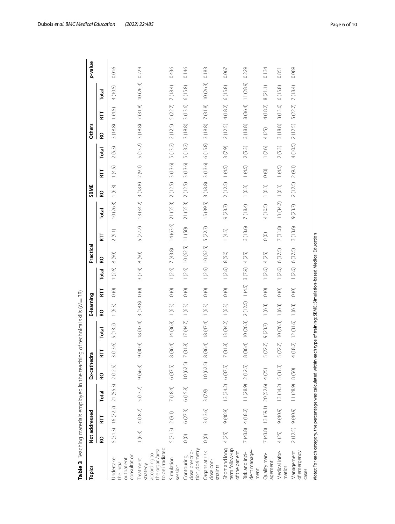| Topics                                                                                                                         | Not addressed |                 |                      | Ex-cathed | ĩ,                       |           | E-learning |                    |        | Practical |            |           | SBME           |         |          | <b>Others</b> |                    |             | p-value |
|--------------------------------------------------------------------------------------------------------------------------------|---------------|-----------------|----------------------|-----------|--------------------------|-----------|------------|--------------------|--------|-----------|------------|-----------|----------------|---------|----------|---------------|--------------------|-------------|---------|
|                                                                                                                                | 6             | 듢               | Total                | 6         | 토                        | Total     | 6          | Ë                  | Total  | <b>Q</b>  | Ë          | Total     | 6              | 됴       | Total    | 6             | E                  | Total       |         |
| consultation<br>Jndertake<br>outpatient<br>the initial                                                                         | 5(31.3)       | 16(72.7)        | 21 (55.3)            | 2(12.5)   | (13.6)<br>3              | 5(13.2)   | 1(6.3)     | $\circ$            | 1(2.6) | 8(50)     | 2(9.1)     | 10(26.3)  | 1(6.3)         | 1(4.5)  | 2(5.3)   | 3(18.8)       | 1(4.5)             | (10.5)<br>4 | 0.016   |
| to be irradiated<br>the organ/area<br>according to<br>Treatment<br>strategy                                                    | 1(6.3)        | 4(18.2)         | 5(13.2)              | 9(56.3)   | (40.9)<br>$\sigma$       | 18 (47.4) | 3(18.8)    | $\circ$            | 3(7.9) | 8 (50)    | 5(22.7)    | 13(34.2)  | 3(18.8)        | 2(9.1)  | 5(13.2)  | 3(18.8)       | 7(31.8)            | 10(26.3)    | 0.229   |
| Simulation<br>session                                                                                                          | 5(31.3)       | 2(9.1)          | 7 (18.4)             | 6(37.5)   | (36.4)<br>$\infty$       | 14(36.8)  | 1(6.3)     | $\circ$ $^{\rm o}$ | (2.6)  | 7(43.8)   | 14(63.6)   | 21 (55.3) | 2(12.5)        | 3(13.6) | 5(13.2)  | 2(12.5)       | 5 (22.7)           | 7 (18.4)    | 0.436   |
| tion, dosimetry<br>dose prescrip-<br>Contouring                                                                                | $\circ$       | 6(27.3)         | 6(15.8)              | 10(62.5)  | (31.8)<br>$\sim$         | 17(44.7)  | 1(6.3)     | $\circ$ $\circ$    | 1(2.6) | 10(62.5)  | 11(50)     | 21 (55.3) | 2(12.5)        | 3(13.6) | 5(13.2)  | 3(18.8)       | 3(13.6)            | 6(15.8)     | 0.146   |
| Organs at risk<br>dose con-<br>straints                                                                                        | $\circ$       | 3(13.6)         | 3(7.9)               | 10(62.5)  | 8 (36.4)                 | 18 (47.4) | 1(6.3)     | $\circ$            | 1(2.6) | 10(62.5)  | 5(22.7)    | 15 (39.5) | 3(18.8)        | 3(13.6) | 6(15.8)  | 3(18.8)       | 7(31.8)            | 10(26.3)    | 0.183   |
| Short and long<br>term follow-up<br>of the patient                                                                             | 4 (25)        | $(6.04)$ $6$    | 13 (34.2)            | 6(37.5)   | (31.8)<br>$\overline{ }$ | 13(34.2)  | 1(6.3)     | $\circ$ $^{\rm o}$ | 1(2.6) | 8 (50)    | (4.5)      | 9(23.7)   | 2(12.5) 1(4.5) |         | 3(7.9)   | 2(12.5)       | 4(18.2)            | 6(15.8)     | 0.067   |
| dent manage-<br>Risk and inci-<br>ment                                                                                         |               | 7(43.8) 4(18.2) | $11(28.9)$ $2(12.5)$ |           | 8 (36.4) 10 (26.3)       |           | 2(12.5)    | (4.5)              | 3(7.9) | 4 (25)    | 3(13.6)    | 7 (18.4)  | (6.3)          | (4.5)   | 2(5.3)   | 3(18.8)       | 8 (36.4) 11 (28.9) |             | 0.229   |
| Quality man-<br>agement                                                                                                        | 7(43.8)       |                 | 13 (59.1) 20 (52.6)  | 4 (25)    | (22.7)<br>5              | 9(23.7)   | 1(6.3)     | $\circ$            | 1(2.6) | 4 (25)    | $\bigcirc$ | 4 (10.5)  | (6.3)          | $\circ$ | 1(2.6)   | 4 (25)        | 4(18.2)            | 8(21.1)     | 0.134   |
| Medical infor-<br>matics                                                                                                       | 4(25)         | (6.04)          | 13(34.2)             | 5(31.3)   | (22.7)<br>$\cup$         | 10(26.3)  | 1(6.3)     | (0)                | 1(2.6) | 6(37.5)   | 7(31.8)    | 13 (34.2) | 1(6.3)         | 1(4.5)  | 2(5.3)   | 3(18.8)       | 3(13.6)            | 6(15.8)     | 0.851   |
| Management<br>of emergency<br>cases                                                                                            | 2(12.5)       | 9 (40.9)        | 11 (28.9)            | 8 (50)    | (18.2)<br>$\overline{ }$ | 12(31.6)  | 1(6.3)     | $0\,0$             | (2.6)  | 6(37.5)   | 3(13.6)    | 9(23.7)   | 2(12.5)        | 2(9.1)  | 4 (10.5) | 2(12.5)       | 5(22.7)            | 7 (184)     | 0.089   |
| Notes: For each category, the percentage was calculated within each type of training; SBME: Simulation-based Medical Education |               |                 |                      |           |                          |           |            |                    |        |           |            |           |                |         |          |               |                    |             |         |

<span id="page-5-0"></span>

Dubois *et al. BMC Medical Education (2022) 22:485* Page 6 of 10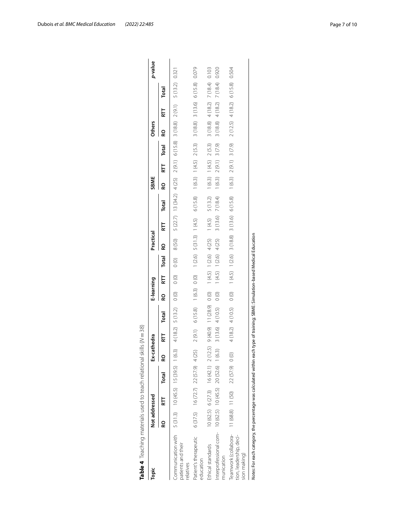| Communication with 5 (31.3) 10 (45.5) 15 (39.5) 1 (6.3) 4 (18.2) 5 (13.2)<br>ဥ                    | Not addressed |       | Ex-cathedra |              |               | E-learning |                   |               | Practical                 |                                       |                                                             | SBME   |                            |                            | <b>Others</b> |                           |          | p-value |
|---------------------------------------------------------------------------------------------------|---------------|-------|-------------|--------------|---------------|------------|-------------------|---------------|---------------------------|---------------------------------------|-------------------------------------------------------------|--------|----------------------------|----------------------------|---------------|---------------------------|----------|---------|
|                                                                                                   |               | Total | ဥ           |              | Total         | 6          | 듢                 | Total         | 6                         | RТ                                    | Total                                                       | ဥ      | 듢                          | Total                      | 6             | 듢                         | Total    |         |
| patients and their<br>relatives                                                                   |               |       |             |              |               | $\circ$    | $\circ$           | $\frac{1}{2}$ | 8 (50)                    |                                       | 5 (22.7) 13 (34.2) 4 (25) 2 (9.1) 6 (15.8) 3 (18.8) 2 (9.1) |        |                            |                            |               |                           | 5 (13.2) | 0.321   |
| $6(37.5)$ $16(72.7)$ $22(57.9)$ 4(25)<br>Patient's therapeutic<br>education                       |               |       |             | 2(9.1)       | 6(15.8)       | 1(6.3)     | $\frac{1}{2}$     | 1(2.6)        | 5(31.3) 1(4.5)            |                                       | 6(15.8)                                                     |        | 1(6.3) 1(4.5) 2(5.3)       |                            |               | $3(18.8)$ $3(13.6)$       | 6(15.8)  | 0.079   |
| 10 (62.5) 6 (27.3) 16 (42.1) 2 (12.5)<br>Ethical standards                                        |               |       |             | $(6.04)$ $6$ | 11(28.9) 0(0) |            |                   |               | $1(4.5)$ $1(2.6)$ $4(25)$ | (4.5)                                 | 5 (13.2)                                                    |        | $1(6.3)$ $1(4.5)$ $2(5.3)$ |                            | 3 (18.8)      | 4(18.2)                   | 7 (18.4) | 0.103   |
| Interprofessional com- 10 (62.5) 10 (45.5) 20 (52.6) 1 (6.3)<br>munication                        |               |       |             | 3(13.6)      | 4(10.5)       | $\circ$    | $1(4.5)$ $1(2.6)$ |               | 4 (25)                    | 3(13.6)                               | 7 (18.4)                                                    | 1(6.3) | 2(9.1)                     | 3(7.9)                     | 3(18.8)       | 4(18.2)                   | 7 (18.4) | 0.920   |
| Teamwork (collabora- 11 (68.8) 11 (50) 22 (57.9) 0 (0)<br>tion, leadership, deci-<br>sion making) |               |       |             | 4(18.2)      | 4 (10.5)      | $\circ$    |                   |               |                           | $1(4.5)$ $1(2.6)$ $3(18.8)$ $3(13.6)$ | 6(15.8)                                                     |        |                            | $1(6.3)$ $2(9.1)$ $3(7.9)$ |               | $2(12.5)$ 4(18.2) 6(15.8) |          | 0.504   |

<span id="page-6-0"></span>

| )<br>١                                                                          |
|---------------------------------------------------------------------------------|
| ١<br>t<br>١<br>$\overline{\phantom{a}}$<br>١                                    |
| S<br>$\overline{\phantom{a}}$<br>١<br>į<br>j<br>c<br>S<br>S<br>S<br>S<br>S<br>١ |
| J<br>$\frac{1}{2}$<br>5<br>J<br>l<br>١                                          |
| ł<br>Ī<br>j<br>I<br>j<br>I<br>١<br>۱                                            |
| ı<br>١<br>$\frac{1}{2}$<br>١<br>Ì<br>J<br>ł<br>i<br>١                           |
| j<br>١<br>١<br>$\ddot{\phantom{a}}$<br>i<br>J<br>d<br>١<br>I<br>J               |
| ı<br>I<br>i<br>$\overline{\phantom{a}}$<br>l<br>í                               |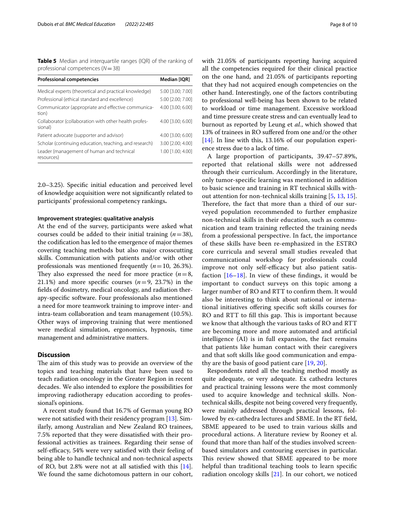<span id="page-7-0"></span>**Table 5** Median and interquartile ranges (IQR) of the ranking of professional competences (*N*=38)

| <b>Professional competencies</b>                                 | Median [IQR]      |
|------------------------------------------------------------------|-------------------|
| Medical experts (theoretical and practical knowledge)            | 5.00 [3.00; 7.00] |
| Professional (ethical standard and excellence)                   | 5.00 [2.00: 7.00] |
| Communicator (appropriate and effective communica-<br>tion)      | 4.00 [3.00; 6.00] |
| Collaborator (collaboration with other health profes-<br>sional) | 4.00 [3.00: 6.00] |
| Patient advocate (supporter and advisor)                         | 4.00 [3.00; 6.00] |
| Scholar (continuing education, teaching, and research)           | 3.00 [2.00: 4.00] |
| Leader (management of human and technical<br>resources)          | 1.00 [1.00: 4.00] |

2.0–3.25). Specifc initial education and perceived level of knowledge acquisition were not signifcantly related to participants' professional competency rankings**.**

# **Improvement strategies: qualitative analysis**

At the end of the survey, participants were asked what courses could be added to their initial training (*n*=38), the codifcation has led to the emergence of major themes covering teaching methods but also major crosscutting skills. Communication with patients and/or with other professionals was mentioned frequently  $(n=10, 26.3\%)$ . They also expressed the need for more practice  $(n=8, 1)$ 21.1%) and more specific courses  $(n=9, 23.7%)$  in the felds of dosimetry, medical oncology, and radiation therapy-specifc software. Four professionals also mentioned a need for more teamwork training to improve inter- and intra-team collaboration and team management (10.5%). Other ways of improving training that were mentioned were medical simulation, ergonomics, hypnosis, time management and administrative matters.

# **Discussion**

The aim of this study was to provide an overview of the topics and teaching materials that have been used to teach radiation oncology in the Greater Region in recent decades. We also intended to explore the possibilities for improving radiotherapy education according to professional's opinions.

A recent study found that 16.7% of German young RO were not satisfed with their residency program [[13](#page-9-12)]. Similarly, among Australian and New Zealand RO trainees, 7.5% reported that they were dissatisfed with their professional activities as trainees. Regarding their sense of self-efficacy, 54% were very satisfied with their feeling of being able to handle technical and non-technical aspects of RO, but 2.8% were not at all satisfed with this [\[14](#page-9-13)]. We found the same dichotomous pattern in our cohort, with 21.05% of participants reporting having acquired all the competencies required for their clinical practice on the one hand, and 21.05% of participants reporting that they had not acquired enough competencies on the other hand. Interestingly, one of the factors contributing to professional well-being has been shown to be related to workload or time management. Excessive workload and time pressure create stress and can eventually lead to burnout as reported by Leung et *al.*, which showed that 13% of trainees in RO sufered from one and/or the other [[14\]](#page-9-13). In line with this, 13.16% of our population experience stress due to a lack of time.

A large proportion of participants, 39.47–57.89%, reported that relational skills were not addressed through their curriculum. Accordingly in the literature, only tumor-specifc learning was mentioned in addition to basic science and training in RT technical skills without attention for non-technical skills training [[5,](#page-9-4) [13](#page-9-12), [15](#page-9-14)]. Therefore, the fact that more than a third of our surveyed population recommended to further emphasize non-technical skills in their education, such as communication and team training refected the training needs from a professional perspective. In fact, the importance of these skills have been re-emphasized in the ESTRO core curricula and several small studies revealed that communicational workshop for professionals could improve not only self-efficacy but also patient satisfaction  $[16–18]$  $[16–18]$  $[16–18]$ . In view of these findings, it would be important to conduct surveys on this topic among a larger number of RO and RTT to confrm them. It would also be interesting to think about national or international initiatives ofering specifc soft skills courses for RO and RTT to fill this gap. This is important because we know that although the various tasks of RO and RTT are becoming more and more automated and artifcial intelligence (AI) is in full expansion, the fact remains that patients like human contact with their caregivers and that soft skills like good communication and empathy are the basis of good patient care [[19,](#page-9-17) [20\]](#page-9-18).

Respondents rated all the teaching method mostly as quite adequate, or very adequate. Ex cathedra lectures and practical training lessons were the most commonly used to acquire knowledge and technical skills. Nontechnical skills, despite not being covered very frequently, were mainly addressed through practical lessons, followed by ex-cathedra lectures and SBME. In the RT feld, SBME appeared to be used to train various skills and procedural actions. A literature review by Rooney et al. found that more than half of the studies involved screenbased simulators and contouring exercises in particular. This review showed that SBME appeared to be more helpful than traditional teaching tools to learn specifc radiation oncology skills [\[21](#page-9-19)]. In our cohort, we noticed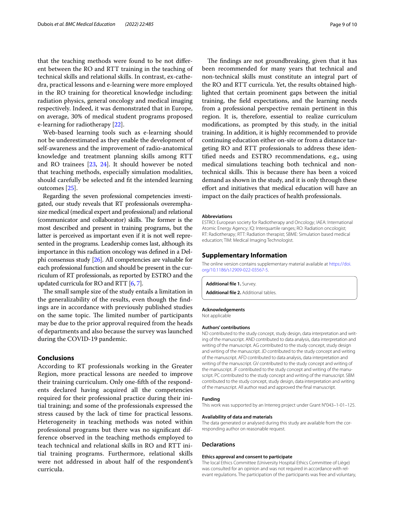that the teaching methods were found to be not diferent between the RO and RTT training in the teaching of technical skills and relational skills. In contrast, ex-cathedra, practical lessons and e-learning were more employed in the RO training for theoretical knowledge including: radiation physics, general oncology and medical imaging respectively. Indeed, it was demonstrated that in Europe, on average, 30% of medical student programs proposed e-learning for radiotherapy [\[22](#page-9-20)].

Web-based learning tools such as e-learning should not be underestimated as they enable the development of self-awareness and the improvement of radio-anatomical knowledge and treatment planning skills among RTT and RO trainees [[23](#page-9-21), [24\]](#page-9-22). It should however be noted that teaching methods, especially simulation modalities, should carefully be selected and ft the intended learning outcomes [[25\]](#page-9-23).

Regarding the seven professional competencies investigated, our study reveals that RT professionals overemphasize medical (medical expert and professional) and relational (communicator and collaborator) skills. The former is the most described and present in training programs, but the latter is perceived as important even if it is not well represented in the programs. Leadership comes last, although its importance in this radiation oncology was defned in a Delphi consensus study [[26](#page-9-24)]. All competencies are valuable for each professional function and should be present in the curriculum of RT professionals, as reported by ESTRO and the updated curricula for RO and RTT [\[6](#page-9-5), [7\]](#page-9-6).

The small sample size of the study entails a limitation in the generalizability of the results, even though the fndings are in accordance with previously published studies on the same topic. The limited number of participants may be due to the prior approval required from the heads of departments and also because the survey was launched during the COVID-19 pandemic.

# **Conclusions**

According to RT professionals working in the Greater Region, more practical lessons are needed to improve their training curriculum. Only one-ffth of the respondents declared having acquired all the competencies required for their professional practice during their initial training; and some of the professionals expressed the stress caused by the lack of time for practical lessons. Heterogeneity in teaching methods was noted within professional programs but there was no signifcant difference observed in the teaching methods employed to teach technical and relational skills in RO and RTT initial training programs. Furthermore, relational skills were not addressed in about half of the respondent's curricula.

The findings are not groundbreaking, given that it has been recommended for many years that technical and non-technical skills must constitute an integral part of the RO and RTT curricula. Yet, the results obtained highlighted that certain prominent gaps between the initial training, the feld expectations, and the learning needs from a professional perspective remain pertinent in this region. It is, therefore, essential to realize curriculum modifcations, as prompted by this study, in the initial training. In addition, it is highly recommended to provide continuing education either on-site or from a distance targeting RO and RTT professionals to address these identifed needs and ESTRO recommendations, e.g., using medical simulations teaching both technical and nontechnical skills. This is because there has been a voiced demand as shown in the study, and it is only through these efort and initiatives that medical education will have an impact on the daily practices of health professionals.

#### **Abbreviations**

ESTRO: European society for Radiotherapy and Oncology; IAEA: International Atomic Energy Agency; IQ: Interquartile ranges; RO: Radiation oncologist; RT: Radiotherapy; RTT: Radiation therapist; SBME: Simulation based medical education; TIM: Medical Imaging Technologist.

# **Supplementary Information**

The online version contains supplementary material available at [https://doi.](https://doi.org/10.1186/s12909-022-03567-5) [org/10.1186/s12909-022-03567-5](https://doi.org/10.1186/s12909-022-03567-5).

<span id="page-8-1"></span><span id="page-8-0"></span>**Additional fle 1.** Survey.

**Additional fle 2.** Additional tables.

# **Acknowledgements**

Not applicable

# **Authors' contributions**

ND contributed to the study concept, study design, data interpretation and writing of the manuscript. AND contributed to data analysis, data interpretation and writing of the manuscript. AG contributed to the study concept, study design and writing of the manuscript. JD contributed to the study concept and writing of the manuscript. AFD contributed to data analysis, data interpretation and writing of the manuscript. GV contributed to the study concept and writing of the manuscript. JF contributed to the study concept and writing of the manuscript. PC contributed to the study concept and writing of the manuscript. SBM contributed to the study concept, study design, data interpretation and writing of the manuscript. All author read and approved the fnal manuscript.

#### **Funding**

This work was supported by an Interreg project under Grant N°043–1-01–125.

#### **Availability of data and materials**

The data generated or analysed during this study are available from the corresponding author on reasonable request.

#### **Declarations**

#### **Ethics approval and consent to participate**

The local Ethics Committee (University Hospital Ethics Committee of Liège) was consulted for an opinion and was not required in accordance with relevant regulations. The participation of the participants was free and voluntary,